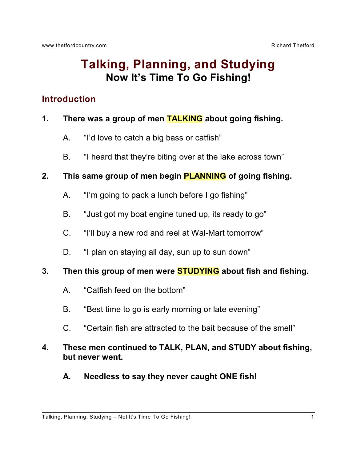# **Talking, Planning, and Studying Now It's Time To Go Fishing!**

# **Introduction**

## **1. There was a group of men TALKING about going fishing.**

- A. "I'd love to catch a big bass or catfish"
- B. "I heard that they're biting over at the lake across town"

## **2. This same group of men begin PLANNING of going fishing.**

- A. "I'm going to pack a lunch before I go fishing"
- B. "Just got my boat engine tuned up, its ready to go"
- C. "I'll buy a new rod and reel at Wal-Mart tomorrow"
- D. "I plan on staying all day, sun up to sun down"

## **3. Then this group of men were STUDYING about fish and fishing.**

- A. "Catfish feed on the bottom"
- B. "Best time to go is early morning or late evening"
- C. "Certain fish are attracted to the bait because of the smell"

## **4. These men continued to TALK, PLAN, and STUDY about fishing, but never went.**

**A. Needless to say they never caught ONE fish!**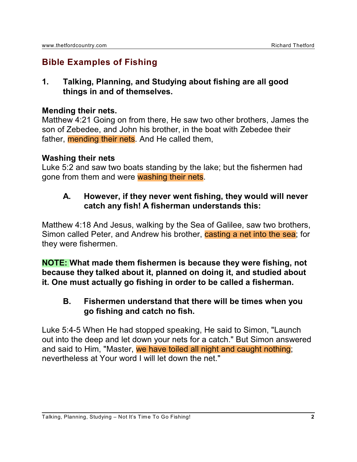# **Bible Examples of Fishing**

**1. Talking, Planning, and Studying about fishing are all good things in and of themselves.**

#### **Mending their nets.**

Matthew 4:21 Going on from there, He saw two other brothers, James the son of Zebedee, and John his brother, in the boat with Zebedee their father, mending their nets. And He called them,

#### **Washing their nets**

Luke 5:2 and saw two boats standing by the lake; but the fishermen had gone from them and were washing their nets.

## **A. However, if they never went fishing, they would will never catch any fish! A fisherman understands this:**

Matthew 4:18 And Jesus, walking by the Sea of Galilee, saw two brothers, Simon called Peter, and Andrew his brother, casting a net into the sea; for they were fishermen.

**NOTE: What made them fishermen is because they were fishing, not because they talked about it, planned on doing it, and studied about it. One must actually go fishing in order to be called a fisherman.**

## **B. Fishermen understand that there will be times when you go fishing and catch no fish.**

Luke 5:4-5 When He had stopped speaking, He said to Simon, "Launch out into the deep and let down your nets for a catch." But Simon answered and said to Him, "Master, we have toiled all night and caught nothing; nevertheless at Your word I will let down the net."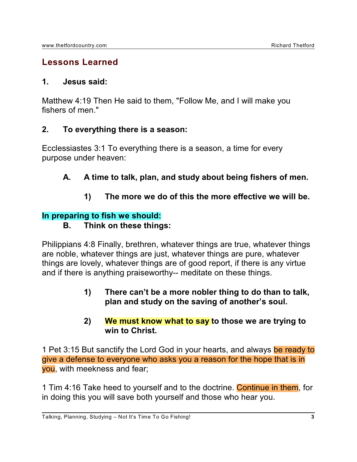## **Lessons Learned**

#### **1. Jesus said:**

Matthew 4:19 Then He said to them, "Follow Me, and I will make you fishers of men."

#### **2. To everything there is a season:**

Ecclessiastes 3:1 To everything there is a season, a time for every purpose under heaven:

- **A. A time to talk, plan, and study about being fishers of men.**
	- **1) The more we do of this the more effective we will be.**

## **In preparing to fish we should:**

## **B. Think on these things:**

Philippians 4:8 Finally, brethren, whatever things are true, whatever things are noble, whatever things are just, whatever things are pure, whatever things are lovely, whatever things are of good report, if there is any virtue and if there is anything praiseworthy-- meditate on these things.

> **1) There can't be a more nobler thing to do than to talk, plan and study on the saving of another's soul.**

#### **2) We must know what to say to those we are trying to win to Christ.**

1 Pet 3:15 But sanctify the Lord God in your hearts, and always be ready to give a defense to everyone who asks you a reason for the hope that is in you, with meekness and fear;

1 Tim 4:16 Take heed to yourself and to the doctrine. Continue in them, for in doing this you will save both yourself and those who hear you.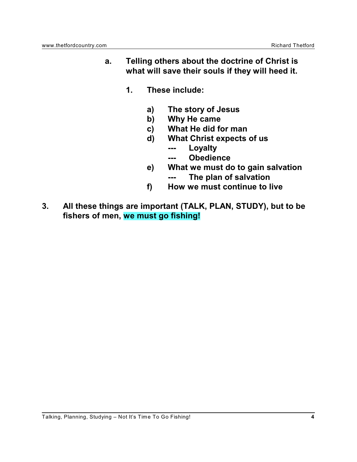- **a. Telling others about the doctrine of Christ is what will save their souls if they will heed it.**
	- **1. These include:**
		- **a) The story of Jesus**
		- **b) Why He came**
		- **c) What He did for man**
		- **d) What Christ expects of us**
			- **--- Loyalty**
			- **--- Obedience**
		- **e) What we must do to gain salvation**
			- **--- The plan of salvation**
		- **f) How we must continue to live**
- **3. All these things are important (TALK, PLAN, STUDY), but to be fishers of men, we must go fishing!**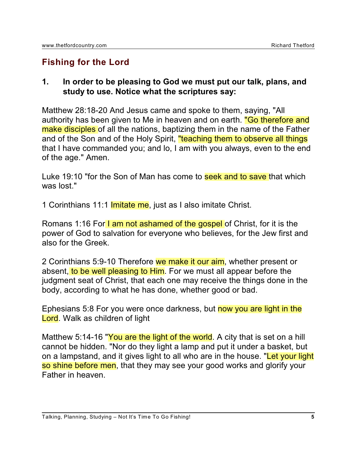# **Fishing for the Lord**

#### **1. In order to be pleasing to God we must put our talk, plans, and study to use. Notice what the scriptures say:**

Matthew 28:18-20 And Jesus came and spoke to them, saying, "All authority has been given to Me in heaven and on earth. "Go therefore and make disciples of all the nations, baptizing them in the name of the Father and of the Son and of the Holy Spirit, "teaching them to observe all things that I have commanded you; and lo, I am with you always, even to the end of the age." Amen.

Luke 19:10 "for the Son of Man has come to seek and to save that which was lost."

1 Corinthians 11:1 **Imitate me**, just as I also imitate Christ.

Romans 1:16 For I am not ashamed of the gospel of Christ, for it is the power of God to salvation for everyone who believes, for the Jew first and also for the Greek.

2 Corinthians 5:9-10 Therefore we make it our aim, whether present or absent, to be well pleasing to Him. For we must all appear before the judgment seat of Christ, that each one may receive the things done in the body, according to what he has done, whether good or bad.

Ephesians 5:8 For you were once darkness, but now you are light in the Lord. Walk as children of light

Matthew 5:14-16 "You are the light of the world. A city that is set on a hill cannot be hidden. "Nor do they light a lamp and put it under a basket, but on a lampstand, and it gives light to all who are in the house. "Let your light so shine before men, that they may see your good works and glorify your Father in heaven.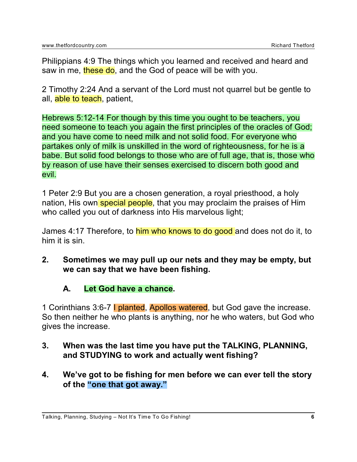Philippians 4:9 The things which you learned and received and heard and saw in me, these do, and the God of peace will be with you.

2 Timothy 2:24 And a servant of the Lord must not quarrel but be gentle to all, able to teach, patient,

Hebrews 5:12-14 For though by this time you ought to be teachers, you need someone to teach you again the first principles of the oracles of God; and you have come to need milk and not solid food. For everyone who partakes only of milk is unskilled in the word of righteousness, for he is a babe. But solid food belongs to those who are of full age, that is, those who by reason of use have their senses exercised to discern both good and evil.

1 Peter 2:9 But you are a chosen generation, a royal priesthood, a holy nation, His own special people, that you may proclaim the praises of Him who called you out of darkness into His marvelous light;

James 4:17 Therefore, to him who knows to do good and does not do it, to him it is sin.

**2. Sometimes we may pull up our nets and they may be empty, but we can say that we have been fishing.**

#### **A. Let God have a chance.**

1 Corinthians 3:6-7 | planted, Apollos watered, but God gave the increase. So then neither he who plants is anything, nor he who waters, but God who gives the increase.

- **3. When was the last time you have put the TALKING, PLANNING, and STUDYING to work and actually went fishing?**
- **4. We've got to be fishing for men before we can ever tell the story of the "one that got away."**